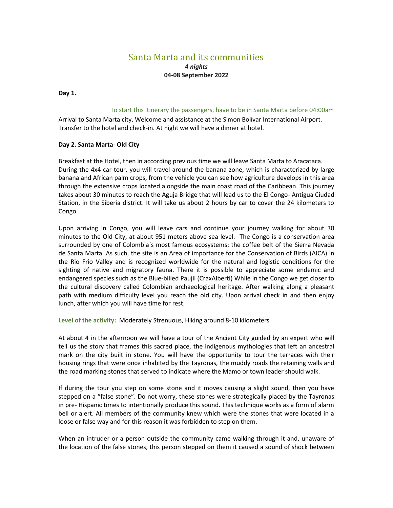# Santa Marta and its communities

### *4 nights* **04-08 September 2022**

#### **Day 1.**

#### To start this itinerary the passengers, have to be in Santa Marta before 04:00am

Arrival to Santa Marta city. Welcome and assistance at the Simon Bolívar International Airport. Transfer to the hotel and check-in. At night we will have a dinner at hotel.

#### **Day 2. Santa Marta- Old City**

Breakfast at the Hotel, then in according previous time we will leave Santa Marta to Aracataca. During the 4x4 car tour, you will travel around the banana zone, which is characterized by large banana and African palm crops, from the vehicle you can see how agriculture develops in this area through the extensive crops located alongside the main coast road of the Caribbean. This journey takes about 30 minutes to reach the Aguja Bridge that will lead us to the El Congo- Antigua Ciudad Station, in the Siberia district. It will take us about 2 hours by car to cover the 24 kilometers to Congo.

Upon arriving in Congo, you will leave cars and continue your journey walking for about 30 minutes to the Old City, at about 951 meters above sea level. The Congo is a conservation area surrounded by one of Colombia´s most famous ecosystems: the coffee belt of the Sierra Nevada de Santa Marta. As such, the site is an Area of importance for the Conservation of Birds (AICA) in the Rio Frio Valley and is recognized worldwide for the natural and logistic conditions for the sighting of native and migratory fauna. There it is possible to appreciate some endemic and endangered species such as the Blue-billed Paujil (CraxAlberti) While in the Congo we get closer to the cultural discovery called Colombian archaeological heritage. After walking along a pleasant path with medium difficulty level you reach the old city. Upon arrival check in and then enjoy lunch, after which you will have time for rest.

**Level of the activity:** Moderately Strenuous, Hiking around 8-10 kilometers

At about 4 in the afternoon we will have a tour of the Ancient City guided by an expert who will tell us the story that frames this sacred place, the indigenous mythologies that left an ancestral mark on the city built in stone. You will have the opportunity to tour the terraces with their housing rings that were once inhabited by the Tayronas, the muddy roads the retaining walls and the road marking stones that served to indicate where the Mamo or town leader should walk.

If during the tour you step on some stone and it moves causing a slight sound, then you have stepped on a "false stone". Do not worry, these stones were strategically placed by the Tayronas in pre- Hispanic times to intentionally produce this sound. This technique works as a form of alarm bell or alert. All members of the community knew which were the stones that were located in a loose or false way and for this reason it was forbidden to step on them.

When an intruder or a person outside the community came walking through it and, unaware of the location of the false stones, this person stepped on them it caused a sound of shock between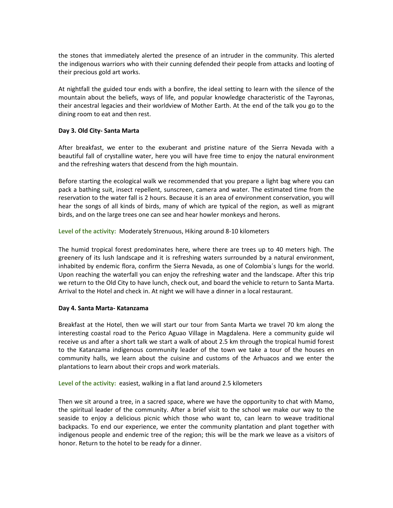the stones that immediately alerted the presence of an intruder in the community. This alerted the indigenous warriors who with their cunning defended their people from attacks and looting of their precious gold art works.

At nightfall the guided tour ends with a bonfire, the ideal setting to learn with the silence of the mountain about the beliefs, ways of life, and popular knowledge characteristic of the Tayronas, their ancestral legacies and their worldview of Mother Earth. At the end of the talk you go to the dining room to eat and then rest.

#### **Day 3. Old City- Santa Marta**

After breakfast, we enter to the exuberant and pristine nature of the Sierra Nevada with a beautiful fall of crystalline water, here you will have free time to enjoy the natural environment and the refreshing waters that descend from the high mountain.

Before starting the ecological walk we recommended that you prepare a light bag where you can pack a bathing suit, insect repellent, sunscreen, camera and water. The estimated time from the reservation to the water fall is 2 hours. Because it is an area of environment conservation, you will hear the songs of all kinds of birds, many of which are typical of the region, as well as migrant birds, and on the large trees one can see and hear howler monkeys and herons.

**Level of the activity:** Moderately Strenuous, Hiking around 8-10 kilometers

The humid tropical forest predominates here, where there are trees up to 40 meters high. The greenery of its lush landscape and it is refreshing waters surrounded by a natural environment, inhabited by endemic flora, confirm the Sierra Nevada, as one of Colombia´s lungs for the world. Upon reaching the waterfall you can enjoy the refreshing water and the landscape. After this trip we return to the Old City to have lunch, check out, and board the vehicle to return to Santa Marta. Arrival to the Hotel and check in. At night we will have a dinner in a local restaurant.

#### **Day 4. Santa Marta- Katanzama**

Breakfast at the Hotel, then we will start our tour from Santa Marta we travel 70 km along the interesting coastal road to the Perico Aguao Village in Magdalena. Here a community guide wil receive us and after a short talk we start a walk of about 2.5 km through the tropical humid forest to the Katanzama indigenous community leader of the town we take a tour of the houses en community halls, we learn about the cuisine and customs of the Arhuacos and we enter the plantations to learn about their crops and work materials.

**Level of the activity:** easiest, walking in a flat land around 2.5 kilometers

Then we sit around a tree, in a sacred space, where we have the opportunity to chat with Mamo, the spiritual leader of the community. After a brief visit to the school we make our way to the seaside to enjoy a delicious picnic which those who want to, can learn to weave traditional backpacks. To end our experience, we enter the community plantation and plant together with indigenous people and endemic tree of the region; this will be the mark we leave as a visitors of honor. Return to the hotel to be ready for a dinner.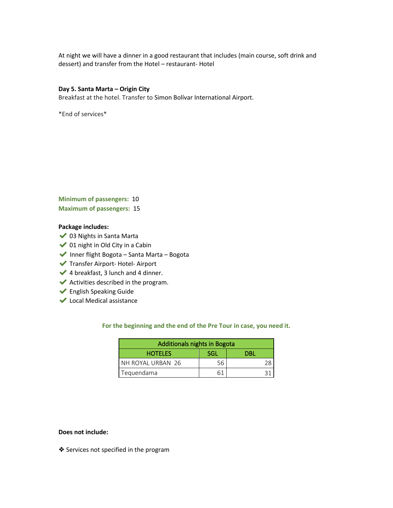At night we will have a dinner in a good restaurant that includes (main course, soft drink and dessert) and transfer from the Hotel – restaurant- Hotel

#### **Day 5. Santa Marta – Origin City**

Breakfast at the hotel. Transfer to Simon Bolívar International Airport.

\*End of services\*

**Minimum of passengers:** 10 **Maximum of passengers:** 15

#### **Package includes:**

- ◆ 03 Nights in Santa Marta
- $\bigvee$  01 night in Old City in a Cabin
- ◆ Inner flight Bogota Santa Marta Bogota
- ✔Transfer Airport- Hotel- Airport
- $\blacktriangleright$  4 breakfast, 3 lunch and 4 dinner.
- $\blacktriangleright$  Activities described in the program.
- ✔English Speaking Guide
- ✔Local Medical assistance

### **For the beginning and the end of the Pre Tour in case, you need it.**

| <b>Additionals nights in Bogota</b> |            |     |
|-------------------------------------|------------|-----|
| <b>HOTELES</b>                      | <b>SGL</b> | DRI |
| NH ROYAL URBAN 26                   |            |     |
| Tequendama                          |            |     |

#### **Does not include:**

❖ Services not specified in the program